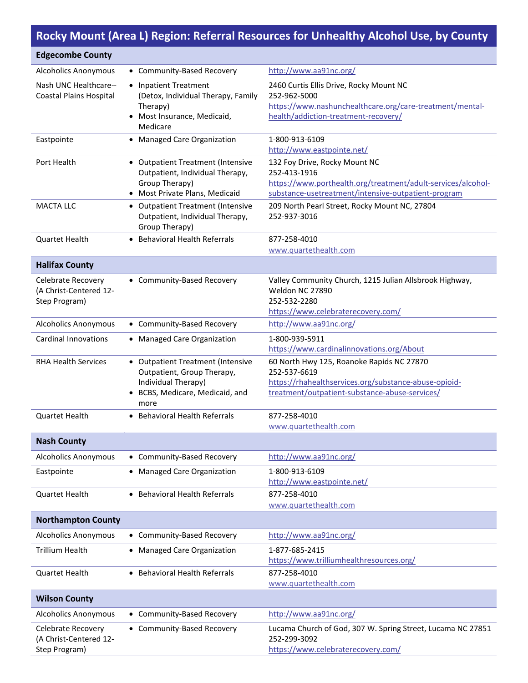## **Rocky Mount (Area L) Region: Referral Resources for Unhealthy Alcohol Use, by County**

| <b>Edgecombe County</b>                                       |                                                                                                                                   |                                                                                                                                                                      |
|---------------------------------------------------------------|-----------------------------------------------------------------------------------------------------------------------------------|----------------------------------------------------------------------------------------------------------------------------------------------------------------------|
| <b>Alcoholics Anonymous</b>                                   | • Community-Based Recovery                                                                                                        | http://www.aa91nc.org/                                                                                                                                               |
| Nash UNC Healthcare--<br><b>Coastal Plains Hospital</b>       | • Inpatient Treatment<br>(Detox, Individual Therapy, Family<br>Therapy)<br>• Most Insurance, Medicaid,<br>Medicare                | 2460 Curtis Ellis Drive, Rocky Mount NC<br>252-962-5000<br>https://www.nashunchealthcare.org/care-treatment/mental-<br>health/addiction-treatment-recovery/          |
| Eastpointe                                                    | • Managed Care Organization                                                                                                       | 1-800-913-6109                                                                                                                                                       |
|                                                               |                                                                                                                                   | http://www.eastpointe.net/                                                                                                                                           |
| Port Health                                                   | • Outpatient Treatment (Intensive<br>Outpatient, Individual Therapy,<br>Group Therapy)<br>• Most Private Plans, Medicaid          | 132 Foy Drive, Rocky Mount NC<br>252-413-1916<br>https://www.porthealth.org/treatment/adult-services/alcohol-<br>substance-usetreatment/intensive-outpatient-program |
| <b>MACTA LLC</b>                                              | • Outpatient Treatment (Intensive<br>Outpatient, Individual Therapy,<br>Group Therapy)                                            | 209 North Pearl Street, Rocky Mount NC, 27804<br>252-937-3016                                                                                                        |
| <b>Quartet Health</b>                                         | • Behavioral Health Referrals                                                                                                     | 877-258-4010                                                                                                                                                         |
|                                                               |                                                                                                                                   | www.quartethealth.com                                                                                                                                                |
| <b>Halifax County</b>                                         |                                                                                                                                   |                                                                                                                                                                      |
| Celebrate Recovery<br>(A Christ-Centered 12-<br>Step Program) | • Community-Based Recovery                                                                                                        | Valley Community Church, 1215 Julian Allsbrook Highway,<br>Weldon NC 27890<br>252-532-2280<br>https://www.celebraterecovery.com/                                     |
| <b>Alcoholics Anonymous</b>                                   | • Community-Based Recovery                                                                                                        | http://www.aa91nc.org/                                                                                                                                               |
| <b>Cardinal Innovations</b>                                   | • Managed Care Organization                                                                                                       | 1-800-939-5911<br>https://www.cardinalinnovations.org/About                                                                                                          |
| <b>RHA Health Services</b>                                    | • Outpatient Treatment (Intensive<br>Outpatient, Group Therapy,<br>Individual Therapy)<br>• BCBS, Medicare, Medicaid, and<br>more | 60 North Hwy 125, Roanoke Rapids NC 27870<br>252-537-6619<br>https://rhahealthservices.org/substance-abuse-opioid-<br>treatment/outpatient-substance-abuse-services/ |
| <b>Quartet Health</b>                                         | • Behavioral Health Referrals                                                                                                     | 877-258-4010<br>www.quartethealth.com                                                                                                                                |
| <b>Nash County</b>                                            |                                                                                                                                   |                                                                                                                                                                      |
| <b>Alcoholics Anonymous</b>                                   | • Community-Based Recovery                                                                                                        | http://www.aa91nc.org/                                                                                                                                               |
| Eastpointe                                                    | • Managed Care Organization                                                                                                       | 1-800-913-6109<br>http://www.eastpointe.net/                                                                                                                         |
| <b>Quartet Health</b>                                         | • Behavioral Health Referrals                                                                                                     | 877-258-4010<br>www.quartethealth.com                                                                                                                                |
| <b>Northampton County</b>                                     |                                                                                                                                   |                                                                                                                                                                      |
| <b>Alcoholics Anonymous</b>                                   | • Community-Based Recovery                                                                                                        | http://www.aa91nc.org/                                                                                                                                               |
| <b>Trillium Health</b>                                        | • Managed Care Organization                                                                                                       | 1-877-685-2415<br>https://www.trilliumhealthresources.org/                                                                                                           |
| <b>Quartet Health</b>                                         | • Behavioral Health Referrals                                                                                                     | 877-258-4010<br>www.quartethealth.com                                                                                                                                |
| <b>Wilson County</b>                                          |                                                                                                                                   |                                                                                                                                                                      |
| <b>Alcoholics Anonymous</b>                                   | • Community-Based Recovery                                                                                                        | http://www.aa91nc.org/                                                                                                                                               |
| Celebrate Recovery<br>(A Christ-Centered 12-<br>Step Program) | • Community-Based Recovery                                                                                                        | Lucama Church of God, 307 W. Spring Street, Lucama NC 27851<br>252-299-3092<br>https://www.celebraterecovery.com/                                                    |